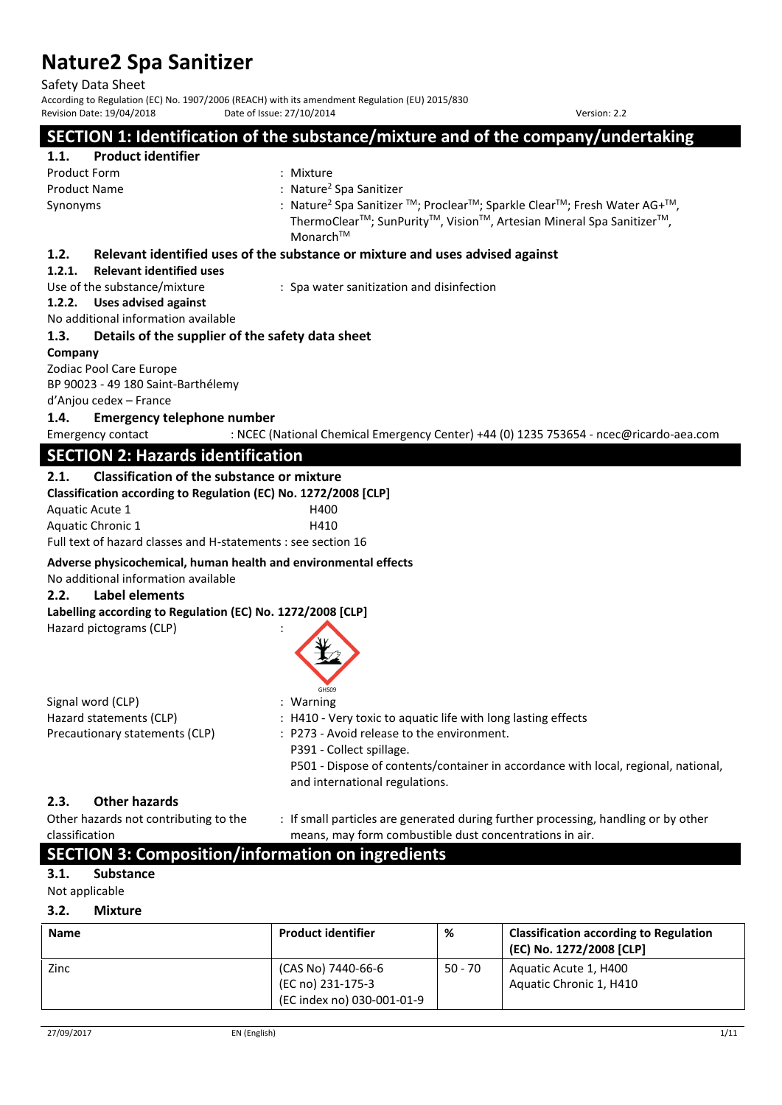Safety Data Sheet

According to Regulation (EC) No. 1907/2006 (REACH) with its amendment Regulation (EU) 2015/830<br>Revision Date: 19/04/2018 Date of Issue: 27/10/2014 Revision Date: 19/04/2018 Date of Issue: 27/10/2014 Version: 2.2

### **SECTION 1: Identification of the substance/mixture and of the company/undertaking**

# **1.1. Product identifier**

Product Form : Mixture Product Name

: Nature<sup>2</sup> Spa Sanitizer Synonyms : Nature<sup>2</sup> Spa Sanitizer TM; ProclearTM; Sparkle ClearTM; Fresh Water AG+TM, ThermoClear<sup>™</sup>; SunPurity<sup>™</sup>, Vision<sup>™</sup>, Artesian Mineral Spa Sanitizer<sup>™</sup>, MonarchTM

### **1.2. Relevant identified uses of the substance or mixture and uses advised against**

### **1.2.1. Relevant identified uses**

Use of the substance/mixture : Spa water sanitization and disinfection

### **1.2.2. Uses advised against**

No additional information available

### **1.3. Details of the supplier of the safety data sheet**

### **Company**

Zodiac Pool Care Europe

BP 90023 - 49 180 Saint-Barthélemy

### d'Anjou cedex – France

### **1.4. Emergency telephone number**

Emergency contact : NCEC (National Chemical Emergency Center) +44 (0) 1235 753654 - ncec@ricardo-aea.com

### **SECTION 2: Hazards identification**

### **2.1. Classification of the substance or mixture**

| Classification according to Regulation (EC) No. 1272/2008 [CLP] |      |
|-----------------------------------------------------------------|------|
| Aquatic Acute 1                                                 | H400 |
| Aquatic Chronic 1                                               | H410 |
| Full text of hazard classes and H-statements : see section 16   |      |

### **Adverse physicochemical, human health and environmental effects**

No additional information available

### **2.2. Label elements**

Hazard pictograms (CLP) :

### **Labelling according to Regulation (EC) No. 1272/2008 [CLP]**

| CUCOO |
|-------|

|                                | GHS09                                                                              |
|--------------------------------|------------------------------------------------------------------------------------|
| Signal word (CLP)              | $:$ Warning                                                                        |
| Hazard statements (CLP)        | : H410 - Very toxic to aquatic life with long lasting effects                      |
| Precautionary statements (CLP) | : P273 - Avoid release to the environment.                                         |
|                                | P391 - Collect spillage.                                                           |
|                                | P501 - Dispose of contents/container in accordance with local, regional, national, |

### **2.3. Other hazards**

| -----                                 |                                                                                    |
|---------------------------------------|------------------------------------------------------------------------------------|
| Other hazards not contributing to the | : If small particles are generated during further processing, handling or by other |
| classification                        | means, may form combustible dust concentrations in air.                            |

and international regulations.

## **SECTION 3: Composition/information on ingredients**

### **3.1. Substance**

Not applicable

### **3.2. Mixture**

| <b>Name</b> | <b>Product identifier</b>               | %         | <b>Classification according to Regulation</b><br>(EC) No. 1272/2008 [CLP] |
|-------------|-----------------------------------------|-----------|---------------------------------------------------------------------------|
| Zinc        | (CAS No) 7440-66-6<br>(EC no) 231-175-3 | $50 - 70$ | Aquatic Acute 1, H400<br>Aquatic Chronic 1, H410                          |
|             | (EC index no) 030-001-01-9              |           |                                                                           |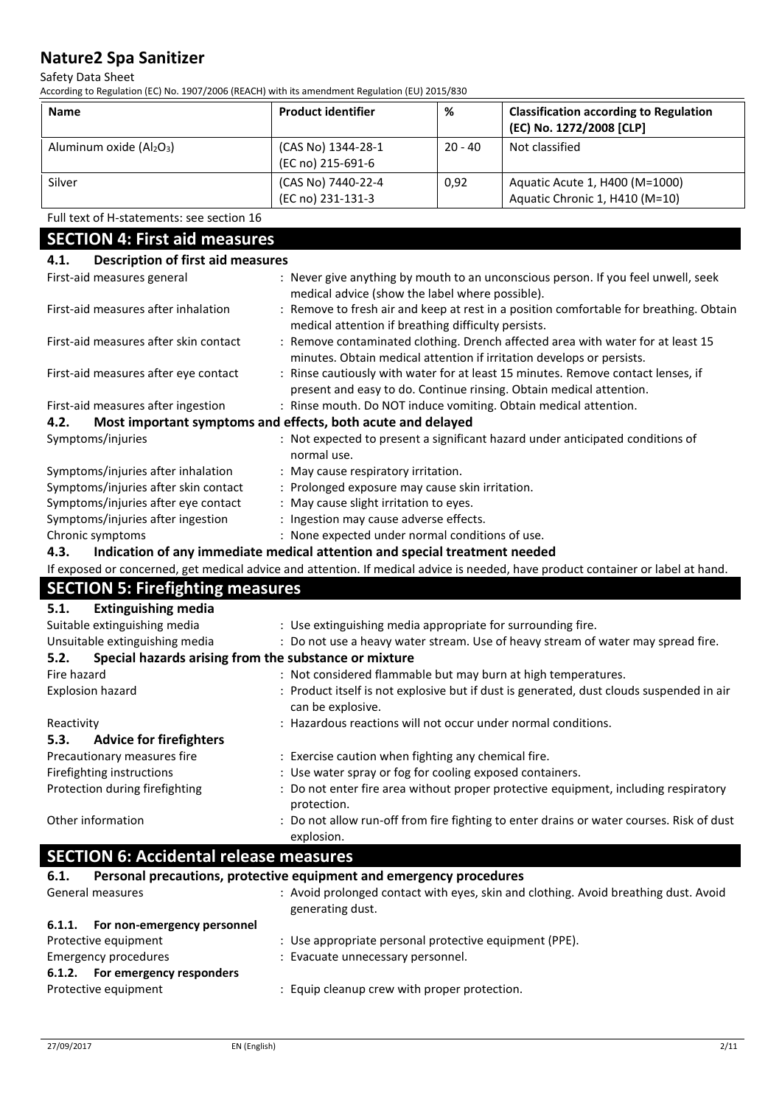### Safety Data Sheet

According to Regulation (EC) No. 1907/2006 (REACH) with its amendment Regulation (EU) 2015/830

| <b>Name</b>                | <b>Product identifier</b>               | %         | <b>Classification according to Regulation</b><br>(EC) No. 1272/2008 [CLP] |
|----------------------------|-----------------------------------------|-----------|---------------------------------------------------------------------------|
| Aluminum oxide $(AI_2O_3)$ | (CAS No) 1344-28-1<br>(EC no) 215-691-6 | $20 - 40$ | Not classified                                                            |
| Silver                     | (CAS No) 7440-22-4<br>(EC no) 231-131-3 | 0.92      | Aquatic Acute 1, H400 (M=1000)<br>Aquatic Chronic 1, H410 (M=10)          |

### Full text of H-statements: see section 16

### **SECTION 4: First aid measures 4.1. Description of first aid measures**  First-aid measures general : Never give anything by mouth to an unconscious person. If you feel unwell, seek medical advice (show the label where possible). First-aid measures after inhalation : Remove to fresh air and keep at rest in a position comfortable for breathing. Obtain medical attention if breathing difficulty persists. First-aid measures after skin contact : Remove contaminated clothing. Drench affected area with water for at least 15 minutes. Obtain medical attention if irritation develops or persists. First-aid measures after eye contact : Rinse cautiously with water for at least 15 minutes. Remove contact lenses, if present and easy to do. Continue rinsing. Obtain medical attention. First-aid measures after ingestion : Rinse mouth. Do NOT induce vomiting. Obtain medical attention. **4.2. Most important symptoms and effects, both acute and delayed**  Symptoms/injuries : Not expected to present a significant hazard under anticipated conditions of normal use. Symptoms/injuries after inhalation : May cause respiratory irritation. Symptoms/injuries after skin contact : Prolonged exposure may cause skin irritation. Symptoms/injuries after eye contact : May cause slight irritation to eyes. Symptoms/injuries after ingestion : Ingestion may cause adverse effects. Chronic symptoms : None expected under normal conditions of use. **4.3. Indication of any immediate medical attention and special treatment needed**  If exposed or concerned, get medical advice and attention. If medical advice is needed, have product container or label at hand. **SECTION 5: Firefighting measures 5.1. Extinguishing media**  Suitable extinguishing media : Use extinguishing media appropriate for surrounding fire. Unsuitable extinguishing media : Do not use a heavy water stream. Use of heavy stream of water may spread fire. **5.2. Special hazards arising from the substance or mixture**  Fire hazard **in the same of the same of the same of the same of the same of the same of the same of the same of t** Explosion hazard **in the state of the state is not explosive but** if dust is generated, dust clouds suspended in air can be explosive. Reactivity **State of the Conditions** of Hazardous reactions will not occur under normal conditions. **5.3. Advice for firefighters**  Precautionary measures fire : Exercise caution when fighting any chemical fire. Firefighting instructions : Use water spray or fog for cooling exposed containers. Protection during firefighting : Do not enter fire area without proper protective equipment, including respiratory protection. Other information **interest in the content of the Constant** of the not allow run-off from fire fighting to enter drains or water courses. Risk of dust explosion. **SECTION 6: Accidental release measures 6.1. Personal precautions, protective equipment and emergency procedures**  General measures **State as Equation** : Avoid prolonged contact with eyes, skin and clothing. Avoid breathing dust. Avoid generating dust.

| 6.1.1.<br>For non-emergency personnel |                                                        |
|---------------------------------------|--------------------------------------------------------|
| Protective equipment                  | : Use appropriate personal protective equipment (PPE). |
| Emergency procedures                  | : Evacuate unnecessary personnel.                      |
| 6.1.2. For emergency responders       |                                                        |
| Protective equipment                  | : Equip cleanup crew with proper protection.           |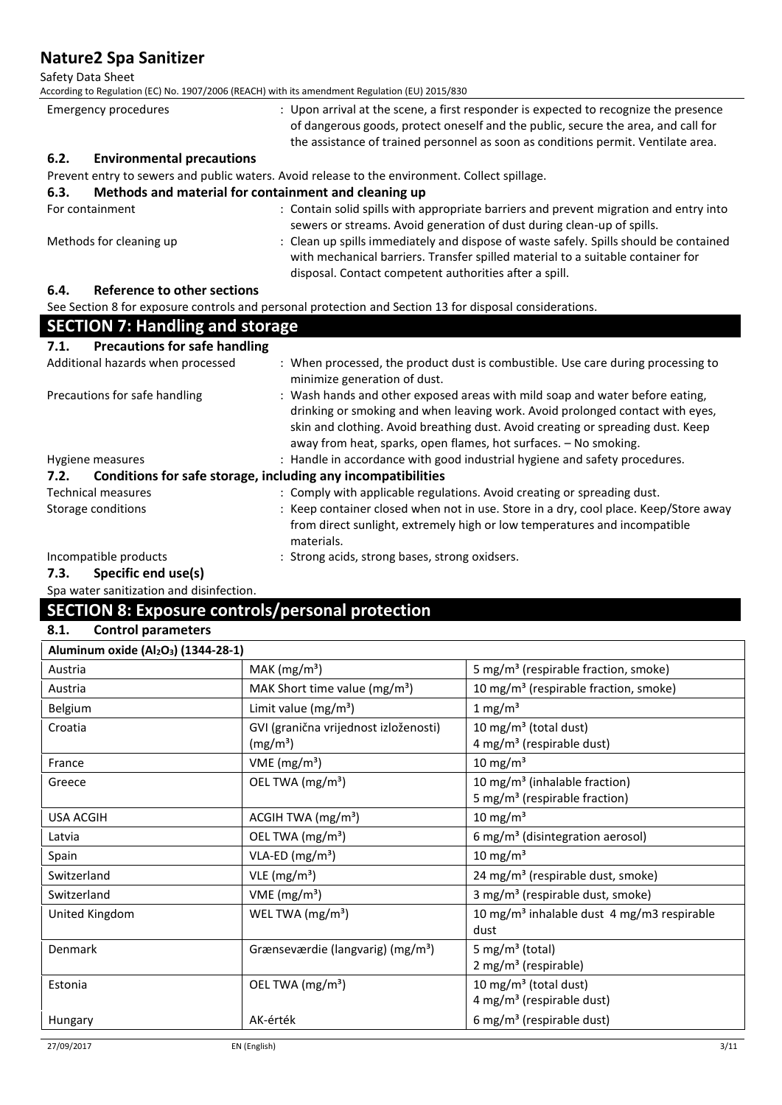Safety Data Sheet

According to Regulation (EC) No. 1907/2006 (REACH) with its amendment Regulation (EU) 2015/830

| Emergency procedures |                                  | : Upon arrival at the scene, a first responder is expected to recognize the presence                                                                                   |
|----------------------|----------------------------------|------------------------------------------------------------------------------------------------------------------------------------------------------------------------|
|                      |                                  | of dangerous goods, protect oneself and the public, secure the area, and call for<br>the assistance of trained personnel as soon as conditions permit. Ventilate area. |
| 6.2.                 | <b>Environmental precautions</b> |                                                                                                                                                                        |

Prevent entry to sewers and public waters. Avoid release to the environment. Collect spillage.

### **6.3. Methods and material for containment and cleaning up**

| For containment                          | : Contain solid spills with appropriate barriers and prevent migration and entry into<br>sewers or streams. Avoid generation of dust during clean-up of spills.                                                                    |
|------------------------------------------|------------------------------------------------------------------------------------------------------------------------------------------------------------------------------------------------------------------------------------|
| Methods for cleaning up                  | : Clean up spills immediately and dispose of waste safely. Spills should be contained<br>with mechanical barriers. Transfer spilled material to a suitable container for<br>disposal. Contact competent authorities after a spill. |
| $\epsilon$<br>Defeuence te ethenceations |                                                                                                                                                                                                                                    |

### **6.4. Reference to other sections**

See Section 8 for exposure controls and personal protection and Section 13 for disposal considerations.

| <b>SECTION 7: Handling and storage</b>                               |                                                                                                                                                                                                                                                                                                                      |  |  |  |
|----------------------------------------------------------------------|----------------------------------------------------------------------------------------------------------------------------------------------------------------------------------------------------------------------------------------------------------------------------------------------------------------------|--|--|--|
| <b>Precautions for safe handling</b><br>7.1.                         |                                                                                                                                                                                                                                                                                                                      |  |  |  |
| Additional hazards when processed                                    | : When processed, the product dust is combustible. Use care during processing to<br>minimize generation of dust.                                                                                                                                                                                                     |  |  |  |
| Precautions for safe handling                                        | : Wash hands and other exposed areas with mild soap and water before eating,<br>drinking or smoking and when leaving work. Avoid prolonged contact with eyes,<br>skin and clothing. Avoid breathing dust. Avoid creating or spreading dust. Keep<br>away from heat, sparks, open flames, hot surfaces. - No smoking. |  |  |  |
| Hygiene measures                                                     | : Handle in accordance with good industrial hygiene and safety procedures.                                                                                                                                                                                                                                           |  |  |  |
| Conditions for safe storage, including any incompatibilities<br>7.2. |                                                                                                                                                                                                                                                                                                                      |  |  |  |
| <b>Technical measures</b>                                            | : Comply with applicable regulations. Avoid creating or spreading dust.                                                                                                                                                                                                                                              |  |  |  |
| Storage conditions                                                   | : Keep container closed when not in use. Store in a dry, cool place. Keep/Store away<br>from direct sunlight, extremely high or low temperatures and incompatible<br>materials.                                                                                                                                      |  |  |  |
| Incompatible products                                                | : Strong acids, strong bases, strong oxidsers.                                                                                                                                                                                                                                                                       |  |  |  |

**7.3. Specific end use(s)** 

Spa water sanitization and disinfection.

## **SECTION 8: Exposure controls/personal protection**

### **8.1. Control parameters**

| MAK $(mg/m3)$<br>5 mg/m <sup>3</sup> (respirable fraction, smoke)<br>Austria<br>MAK Short time value ( $mg/m3$ )<br>10 mg/m <sup>3</sup> (respirable fraction, smoke)<br>Austria<br>Belgium<br>Limit value $(mg/m^3)$<br>1 mg/m <sup>3</sup><br>10 mg/m <sup>3</sup> (total dust)<br>Croatia<br>GVI (granična vrijednost izloženosti)<br>$4 \text{ mg/m}^3$ (respirable dust)<br>(mg/m <sup>3</sup> )<br>10 mg/m $3$<br>VME ( $mg/m3$ )<br>France<br>OEL TWA (mg/m <sup>3</sup> )<br>10 mg/m <sup>3</sup> (inhalable fraction)<br>Greece<br>5 mg/m <sup>3</sup> (respirable fraction)<br>10 mg/m <sup>3</sup><br><b>USA ACGIH</b><br>ACGIH TWA $(mg/m3)$<br>OEL TWA (mg/m <sup>3</sup> )<br>6 mg/m <sup>3</sup> (disintegration aerosol)<br>Latvia<br>$VLA-ED (mg/m3)$<br>10 mg/m <sup>3</sup><br>Spain<br>VLE (mg/m <sup>3</sup> )<br>Switzerland<br>24 mg/m <sup>3</sup> (respirable dust, smoke)<br>VME ( $mg/m3$ )<br>3 mg/m <sup>3</sup> (respirable dust, smoke)<br>Switzerland<br>United Kingdom<br>WEL TWA $(mg/m3)$<br>10 mg/m <sup>3</sup> inhalable dust 4 mg/m3 respirable<br>dust<br>5 mg/m <sup>3</sup> (total)<br>Denmark<br>Grænseværdie (langvarig) (mg/m <sup>3</sup> )<br>$2$ mg/m <sup>3</sup> (respirable)<br>10 mg/m <sup>3</sup> (total dust)<br>OEL TWA (mg/m <sup>3</sup> )<br>Estonia | Aluminum oxide (Al <sub>2</sub> O <sub>3</sub> ) (1344-28-1) |                                       |
|-----------------------------------------------------------------------------------------------------------------------------------------------------------------------------------------------------------------------------------------------------------------------------------------------------------------------------------------------------------------------------------------------------------------------------------------------------------------------------------------------------------------------------------------------------------------------------------------------------------------------------------------------------------------------------------------------------------------------------------------------------------------------------------------------------------------------------------------------------------------------------------------------------------------------------------------------------------------------------------------------------------------------------------------------------------------------------------------------------------------------------------------------------------------------------------------------------------------------------------------------------------------------------------------------------------------|--------------------------------------------------------------|---------------------------------------|
|                                                                                                                                                                                                                                                                                                                                                                                                                                                                                                                                                                                                                                                                                                                                                                                                                                                                                                                                                                                                                                                                                                                                                                                                                                                                                                                 |                                                              |                                       |
|                                                                                                                                                                                                                                                                                                                                                                                                                                                                                                                                                                                                                                                                                                                                                                                                                                                                                                                                                                                                                                                                                                                                                                                                                                                                                                                 |                                                              |                                       |
|                                                                                                                                                                                                                                                                                                                                                                                                                                                                                                                                                                                                                                                                                                                                                                                                                                                                                                                                                                                                                                                                                                                                                                                                                                                                                                                 |                                                              |                                       |
|                                                                                                                                                                                                                                                                                                                                                                                                                                                                                                                                                                                                                                                                                                                                                                                                                                                                                                                                                                                                                                                                                                                                                                                                                                                                                                                 |                                                              |                                       |
|                                                                                                                                                                                                                                                                                                                                                                                                                                                                                                                                                                                                                                                                                                                                                                                                                                                                                                                                                                                                                                                                                                                                                                                                                                                                                                                 |                                                              |                                       |
|                                                                                                                                                                                                                                                                                                                                                                                                                                                                                                                                                                                                                                                                                                                                                                                                                                                                                                                                                                                                                                                                                                                                                                                                                                                                                                                 |                                                              |                                       |
|                                                                                                                                                                                                                                                                                                                                                                                                                                                                                                                                                                                                                                                                                                                                                                                                                                                                                                                                                                                                                                                                                                                                                                                                                                                                                                                 |                                                              |                                       |
|                                                                                                                                                                                                                                                                                                                                                                                                                                                                                                                                                                                                                                                                                                                                                                                                                                                                                                                                                                                                                                                                                                                                                                                                                                                                                                                 |                                                              |                                       |
|                                                                                                                                                                                                                                                                                                                                                                                                                                                                                                                                                                                                                                                                                                                                                                                                                                                                                                                                                                                                                                                                                                                                                                                                                                                                                                                 |                                                              |                                       |
|                                                                                                                                                                                                                                                                                                                                                                                                                                                                                                                                                                                                                                                                                                                                                                                                                                                                                                                                                                                                                                                                                                                                                                                                                                                                                                                 |                                                              |                                       |
|                                                                                                                                                                                                                                                                                                                                                                                                                                                                                                                                                                                                                                                                                                                                                                                                                                                                                                                                                                                                                                                                                                                                                                                                                                                                                                                 |                                                              |                                       |
|                                                                                                                                                                                                                                                                                                                                                                                                                                                                                                                                                                                                                                                                                                                                                                                                                                                                                                                                                                                                                                                                                                                                                                                                                                                                                                                 |                                                              |                                       |
|                                                                                                                                                                                                                                                                                                                                                                                                                                                                                                                                                                                                                                                                                                                                                                                                                                                                                                                                                                                                                                                                                                                                                                                                                                                                                                                 |                                                              |                                       |
|                                                                                                                                                                                                                                                                                                                                                                                                                                                                                                                                                                                                                                                                                                                                                                                                                                                                                                                                                                                                                                                                                                                                                                                                                                                                                                                 |                                                              |                                       |
|                                                                                                                                                                                                                                                                                                                                                                                                                                                                                                                                                                                                                                                                                                                                                                                                                                                                                                                                                                                                                                                                                                                                                                                                                                                                                                                 |                                                              |                                       |
|                                                                                                                                                                                                                                                                                                                                                                                                                                                                                                                                                                                                                                                                                                                                                                                                                                                                                                                                                                                                                                                                                                                                                                                                                                                                                                                 |                                                              |                                       |
|                                                                                                                                                                                                                                                                                                                                                                                                                                                                                                                                                                                                                                                                                                                                                                                                                                                                                                                                                                                                                                                                                                                                                                                                                                                                                                                 |                                                              |                                       |
|                                                                                                                                                                                                                                                                                                                                                                                                                                                                                                                                                                                                                                                                                                                                                                                                                                                                                                                                                                                                                                                                                                                                                                                                                                                                                                                 |                                                              |                                       |
|                                                                                                                                                                                                                                                                                                                                                                                                                                                                                                                                                                                                                                                                                                                                                                                                                                                                                                                                                                                                                                                                                                                                                                                                                                                                                                                 |                                                              | 4 mg/m <sup>3</sup> (respirable dust) |
| AK-érték<br>6 mg/m <sup>3</sup> (respirable dust)<br>Hungary                                                                                                                                                                                                                                                                                                                                                                                                                                                                                                                                                                                                                                                                                                                                                                                                                                                                                                                                                                                                                                                                                                                                                                                                                                                    |                                                              |                                       |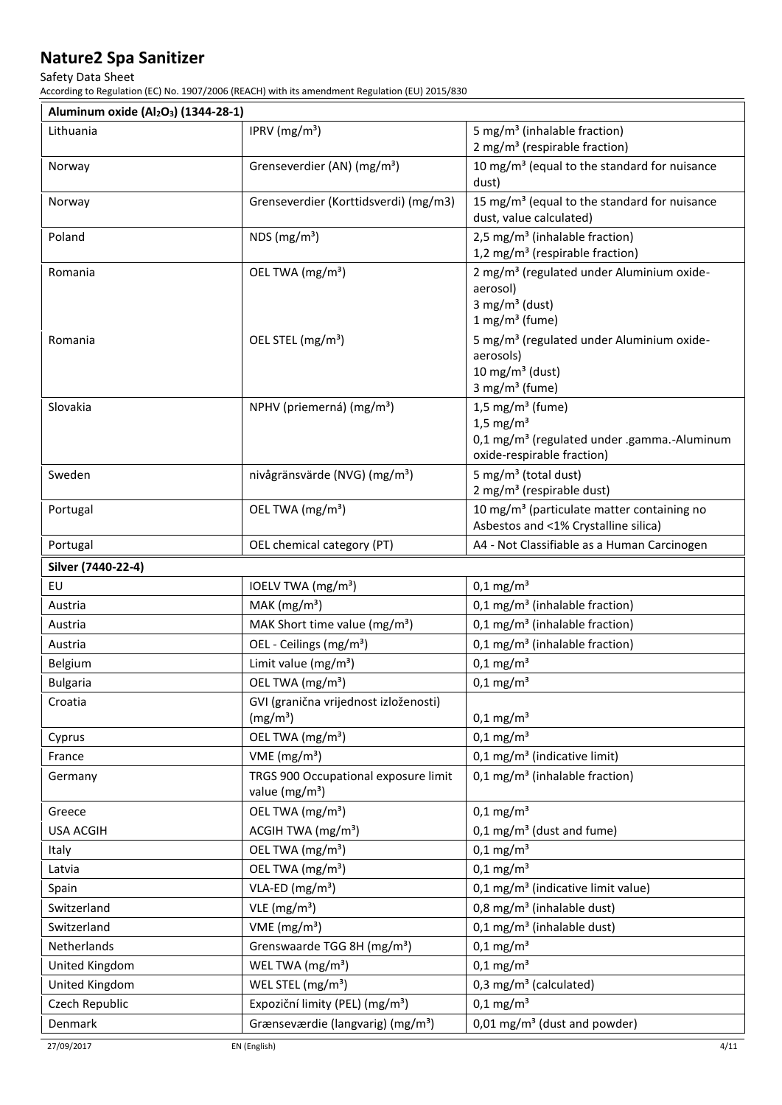### Safety Data Sheet

According to Regulation (EC) No. 1907/2006 (REACH) with its amendment Regulation (EU) 2015/830

| Aluminum oxide (Al <sub>2</sub> O <sub>3</sub> ) (1344-28-1) |                                                                    |                                                                                                                                                 |
|--------------------------------------------------------------|--------------------------------------------------------------------|-------------------------------------------------------------------------------------------------------------------------------------------------|
| Lithuania                                                    | IPRV ( $mg/m3$ )                                                   | 5 mg/m <sup>3</sup> (inhalable fraction)<br>2 mg/m <sup>3</sup> (respirable fraction)                                                           |
| Norway                                                       | Grenseverdier (AN) (mg/m <sup>3</sup> )                            | 10 mg/m <sup>3</sup> (equal to the standard for nuisance<br>dust)                                                                               |
| Norway                                                       | Grenseverdier (Korttidsverdi) (mg/m3)                              | 15 mg/m <sup>3</sup> (equal to the standard for nuisance<br>dust, value calculated)                                                             |
| Poland                                                       | NDS ( $mg/m3$ )                                                    | 2,5 mg/m <sup>3</sup> (inhalable fraction)<br>1,2 mg/m <sup>3</sup> (respirable fraction)                                                       |
| Romania                                                      | OEL TWA (mg/m <sup>3</sup> )                                       | 2 mg/m <sup>3</sup> (regulated under Aluminium oxide-<br>aerosol)<br>3 mg/m <sup>3</sup> (dust)<br>$1$ mg/m <sup>3</sup> (fume)                 |
| Romania                                                      | OEL STEL (mg/m <sup>3</sup> )                                      | 5 mg/m <sup>3</sup> (regulated under Aluminium oxide-<br>aerosols)<br>10 mg/m $3$ (dust)<br>3 mg/m <sup>3</sup> (fume)                          |
| Slovakia                                                     | NPHV (priemerná) (mg/m <sup>3</sup> )                              | $1,5$ mg/m <sup>3</sup> (fume)<br>$1.5 \text{ mg/m}^3$<br>0,1 mg/m <sup>3</sup> (regulated under .gamma.-Aluminum<br>oxide-respirable fraction) |
| Sweden                                                       | nivågränsvärde (NVG) (mg/m <sup>3</sup> )                          | 5 mg/m <sup>3</sup> (total dust)<br>2 mg/m <sup>3</sup> (respirable dust)                                                                       |
| Portugal                                                     | OEL TWA (mg/m <sup>3</sup> )                                       | 10 mg/m <sup>3</sup> (particulate matter containing no<br>Asbestos and <1% Crystalline silica)                                                  |
| Portugal                                                     | OEL chemical category (PT)                                         | A4 - Not Classifiable as a Human Carcinogen                                                                                                     |
| Silver (7440-22-4)                                           |                                                                    |                                                                                                                                                 |
| EU                                                           | IOELV TWA (mg/m <sup>3</sup> )                                     | $0,1$ mg/m <sup>3</sup>                                                                                                                         |
| Austria                                                      | MAK $(mg/m3)$                                                      | $0,1$ mg/m <sup>3</sup> (inhalable fraction)                                                                                                    |
| Austria                                                      | MAK Short time value (mg/m <sup>3</sup> )                          | $0,1$ mg/m <sup>3</sup> (inhalable fraction)                                                                                                    |
| Austria                                                      | OEL - Ceilings (mg/m <sup>3</sup> )                                | $0,1$ mg/m <sup>3</sup> (inhalable fraction)                                                                                                    |
| Belgium                                                      | Limit value ( $mg/m^3$ )                                           | $0,1$ mg/m <sup>3</sup>                                                                                                                         |
| <b>Bulgaria</b>                                              | OEL TWA (mg/m <sup>3</sup> )                                       | $0,1$ mg/m <sup>3</sup>                                                                                                                         |
| Croatia                                                      | GVI (granična vrijednost izloženosti)<br>(mg/m <sup>3</sup> )      | $0,1 \text{ mg/m}^3$                                                                                                                            |
| Cyprus                                                       | OEL TWA (mg/m <sup>3</sup> )                                       | $0,1$ mg/m <sup>3</sup>                                                                                                                         |
| France                                                       | VME ( $mg/m3$ )                                                    | $0,1$ mg/m <sup>3</sup> (indicative limit)                                                                                                      |
| Germany                                                      | TRGS 900 Occupational exposure limit<br>value (mg/m <sup>3</sup> ) | $0,1$ mg/m <sup>3</sup> (inhalable fraction)                                                                                                    |
| Greece                                                       | OEL TWA (mg/m <sup>3</sup> )                                       | $0,1$ mg/m <sup>3</sup>                                                                                                                         |
| <b>USA ACGIH</b>                                             | ACGIH TWA $(mg/m3)$                                                | $0,1$ mg/m <sup>3</sup> (dust and fume)                                                                                                         |
| Italy                                                        | OEL TWA (mg/m <sup>3</sup> )                                       | $0,1$ mg/m <sup>3</sup>                                                                                                                         |
| Latvia                                                       | OEL TWA (mg/m <sup>3</sup> )                                       | $0,1$ mg/m <sup>3</sup>                                                                                                                         |
| Spain                                                        | $VLA-ED (mg/m3)$                                                   | $0,1$ mg/m <sup>3</sup> (indicative limit value)                                                                                                |
| Switzerland                                                  | VLE $(mg/m^3)$                                                     | 0,8 mg/m <sup>3</sup> (inhalable dust)                                                                                                          |
| Switzerland                                                  | VME ( $mg/m3$ )                                                    | $0,1$ mg/m <sup>3</sup> (inhalable dust)                                                                                                        |
| Netherlands                                                  | Grenswaarde TGG 8H (mg/m <sup>3</sup> )                            | $0,1$ mg/m <sup>3</sup>                                                                                                                         |
| United Kingdom                                               | WEL TWA (mg/m <sup>3</sup> )                                       | $0,1$ mg/m <sup>3</sup>                                                                                                                         |
| United Kingdom                                               | WEL STEL (mg/m <sup>3</sup> )                                      | $0,3$ mg/m <sup>3</sup> (calculated)                                                                                                            |
| Czech Republic                                               | Expoziční limity (PEL) (mg/m <sup>3</sup> )                        | $0,1$ mg/m <sup>3</sup>                                                                                                                         |
| Denmark                                                      | Grænseværdie (langvarig) (mg/m <sup>3</sup> )                      | 0,01 mg/m <sup>3</sup> (dust and powder)                                                                                                        |
|                                                              |                                                                    |                                                                                                                                                 |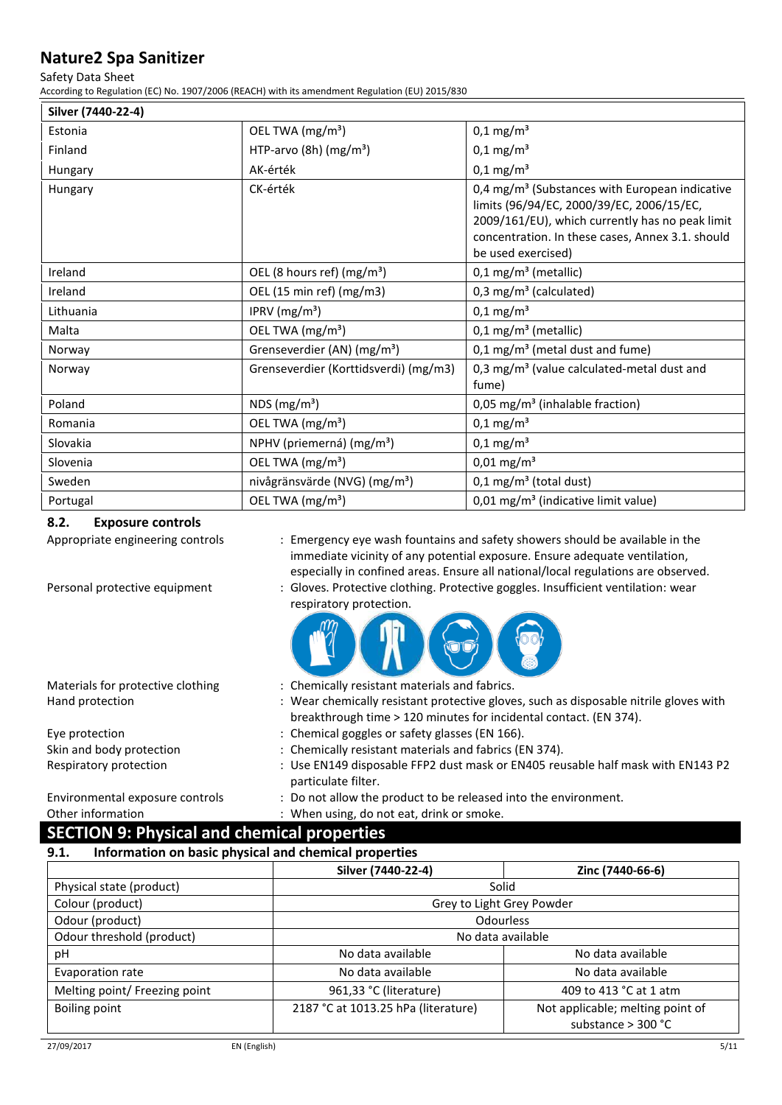### Safety Data Sheet

According to Regulation (EC) No. 1907/2006 (REACH) with its amendment Regulation (EU) 2015/830

| Silver (7440-22-4)                      |                                           |                                                                                                                                                                                                                                      |  |
|-----------------------------------------|-------------------------------------------|--------------------------------------------------------------------------------------------------------------------------------------------------------------------------------------------------------------------------------------|--|
| OEL TWA (mg/m <sup>3</sup> )<br>Estonia |                                           | $0,1 \text{ mg/m}^3$                                                                                                                                                                                                                 |  |
| Finland                                 | HTP-arvo (8h) $(mg/m3)$                   | $0,1 \text{ mg/m}^3$                                                                                                                                                                                                                 |  |
| Hungary                                 | AK-érték                                  | $0,1 \text{ mg/m}^3$                                                                                                                                                                                                                 |  |
| Hungary                                 | CK-érték                                  | 0,4 mg/m <sup>3</sup> (Substances with European indicative<br>limits (96/94/EC, 2000/39/EC, 2006/15/EC,<br>2009/161/EU), which currently has no peak limit<br>concentration. In these cases, Annex 3.1. should<br>be used exercised) |  |
| Ireland                                 | OEL (8 hours ref) (mg/m <sup>3</sup> )    | $0,1$ mg/m <sup>3</sup> (metallic)                                                                                                                                                                                                   |  |
| Ireland                                 | OEL (15 min ref) (mg/m3)                  | 0,3 mg/ $m3$ (calculated)                                                                                                                                                                                                            |  |
| Lithuania                               | IPRV ( $mg/m3$ )                          | $0,1 \text{ mg/m}^3$                                                                                                                                                                                                                 |  |
| Malta                                   | OEL TWA (mg/m <sup>3</sup> )              | $0,1$ mg/m <sup>3</sup> (metallic)                                                                                                                                                                                                   |  |
| Norway                                  | Grenseverdier (AN) (mg/m <sup>3</sup> )   | $0,1$ mg/m <sup>3</sup> (metal dust and fume)                                                                                                                                                                                        |  |
| Norway                                  | Grenseverdier (Korttidsverdi) (mg/m3)     | 0,3 mg/m <sup>3</sup> (value calculated-metal dust and<br>fume)                                                                                                                                                                      |  |
| Poland                                  | NDS ( $mg/m3$ )                           | 0,05 mg/m <sup>3</sup> (inhalable fraction)                                                                                                                                                                                          |  |
| Romania                                 | OEL TWA (mg/m <sup>3</sup> )              | $0,1 \text{ mg/m}^3$                                                                                                                                                                                                                 |  |
| Slovakia                                | NPHV (priemerná) (mg/m <sup>3</sup> )     | $0,1 \text{ mg/m}^3$                                                                                                                                                                                                                 |  |
| Slovenia                                | OEL TWA (mg/m <sup>3</sup> )              | $0,01 \text{ mg/m}^3$                                                                                                                                                                                                                |  |
| Sweden                                  | nivågränsvärde (NVG) (mg/m <sup>3</sup> ) | $0,1$ mg/m <sup>3</sup> (total dust)                                                                                                                                                                                                 |  |
| Portugal                                | OEL TWA (mg/m <sup>3</sup> )              | $0.01$ mg/m <sup>3</sup> (indicative limit value)                                                                                                                                                                                    |  |

### **8.2. Exposure controls**

Appropriate engineering controls : Emergency eye wash fountains and safety showers should be available in the immediate vicinity of any potential exposure. Ensure adequate ventilation, especially in confined areas. Ensure all national/local regulations are observed.

Personal protective equipment : Gloves. Protective clothing. Protective goggles. Insufficient ventilation: wear respiratory protection.



| Materials for protective clothing | : Chemically resistant materials and fabrics.                                                          |
|-----------------------------------|--------------------------------------------------------------------------------------------------------|
| Hand protection                   | : Wear chemically resistant protective gloves, such as disposable nitrile gloves with                  |
|                                   | breakthrough time > 120 minutes for incidental contact. (EN 374).                                      |
| Eye protection                    | : Chemical goggles or safety glasses (EN 166).                                                         |
| Skin and body protection          | : Chemically resistant materials and fabrics (EN 374).                                                 |
| Respiratory protection            | : Use EN149 disposable FFP2 dust mask or EN405 reusable half mask with EN143 P2<br>particulate filter. |
| Environmental exposure controls   | : Do not allow the product to be released into the environment.                                        |

Other information : When using, do not eat, drink or smoke.

# **SECTION 9: Physical and chemical properties**

**9.1. Information on basic physical and chemical properties** 

|                               | Silver (7440-22-4)                  | Zinc (7440-66-6)                                         |  |  |
|-------------------------------|-------------------------------------|----------------------------------------------------------|--|--|
| Physical state (product)      | Solid                               |                                                          |  |  |
| Colour (product)              |                                     | Grey to Light Grey Powder                                |  |  |
| Odour (product)               |                                     | <b>Odourless</b>                                         |  |  |
| Odour threshold (product)     | No data available                   |                                                          |  |  |
| рH                            | No data available                   | No data available                                        |  |  |
| Evaporation rate              | No data available                   | No data available                                        |  |  |
| Melting point/ Freezing point | 961,33 °C (literature)              | 409 to 413 °C at 1 atm                                   |  |  |
| Boiling point                 | 2187 °C at 1013.25 hPa (literature) | Not applicable; melting point of<br>substance $>$ 300 °C |  |  |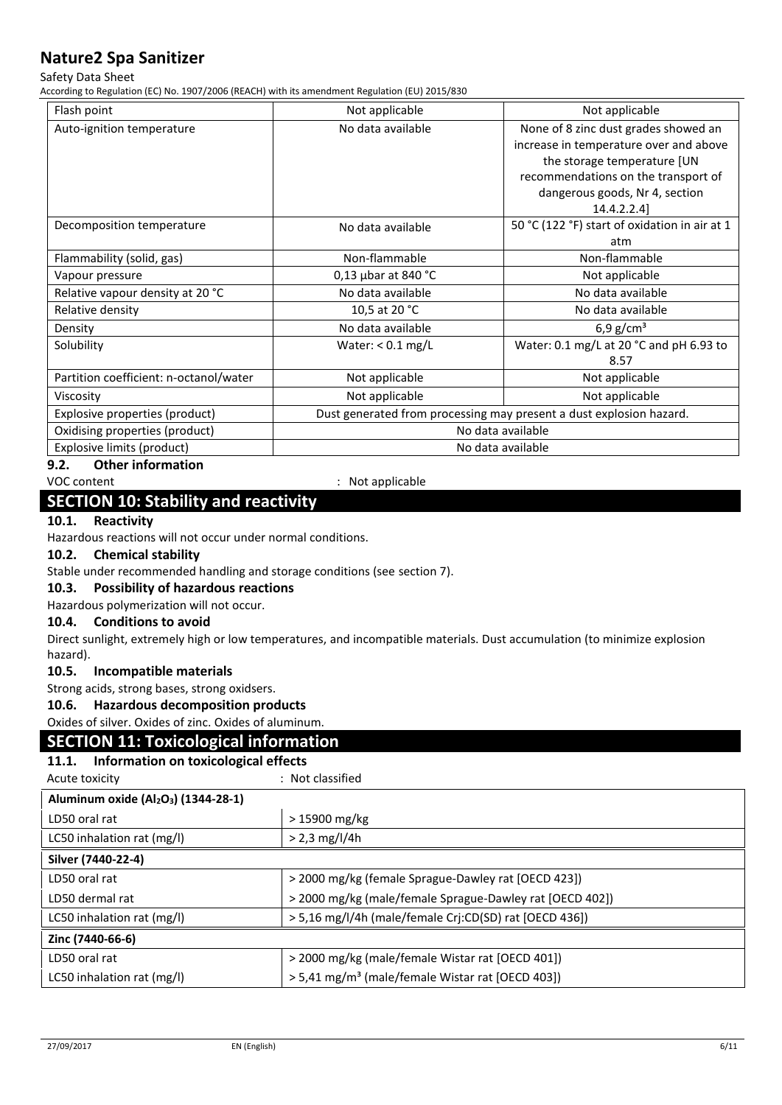### Safety Data Sheet

According to Regulation (EC) No. 1907/2006 (REACH) with its amendment Regulation (EU) 2015/830

| Flash point                            | Not applicable<br>Not applicable                                    |                                               |  |
|----------------------------------------|---------------------------------------------------------------------|-----------------------------------------------|--|
| Auto-ignition temperature              | No data available<br>None of 8 zinc dust grades showed an           |                                               |  |
|                                        |                                                                     | increase in temperature over and above        |  |
|                                        |                                                                     | the storage temperature [UN                   |  |
|                                        |                                                                     | recommendations on the transport of           |  |
|                                        |                                                                     | dangerous goods, Nr 4, section                |  |
|                                        |                                                                     | 14.4.2.2.4]                                   |  |
| Decomposition temperature              | No data available                                                   | 50 °C (122 °F) start of oxidation in air at 1 |  |
|                                        |                                                                     | atm                                           |  |
| Flammability (solid, gas)              | Non-flammable                                                       | Non-flammable                                 |  |
| Vapour pressure                        | 0,13 $\mu$ bar at 840 °C<br>Not applicable                          |                                               |  |
| Relative vapour density at 20 °C       | No data available<br>No data available                              |                                               |  |
| Relative density                       | 10,5 at 20 °C<br>No data available                                  |                                               |  |
| Density                                | No data available<br>6,9 $g/cm^{3}$                                 |                                               |  |
| Solubility                             | Water: 0.1 mg/L at 20 °C and pH 6.93 to<br>Water: $< 0.1$ mg/L      |                                               |  |
|                                        |                                                                     | 8.57                                          |  |
| Partition coefficient: n-octanol/water | Not applicable<br>Not applicable                                    |                                               |  |
| Viscosity                              | Not applicable<br>Not applicable                                    |                                               |  |
| Explosive properties (product)         | Dust generated from processing may present a dust explosion hazard. |                                               |  |
| Oxidising properties (product)         | No data available                                                   |                                               |  |
| Explosive limits (product)             | No data available                                                   |                                               |  |

# **9.2. Other information**

VOC content  $\blacksquare$ 

# **SECTION 10: Stability and reactivity**

### **10.1. Reactivity**

Hazardous reactions will not occur under normal conditions.

### **10.2. Chemical stability**

Stable under recommended handling and storage conditions (see section 7).

### **10.3. Possibility of hazardous reactions**

Hazardous polymerization will not occur.

### **10.4. Conditions to avoid**

Direct sunlight, extremely high or low temperatures, and incompatible materials. Dust accumulation (to minimize explosion hazard).

### **10.5. Incompatible materials**

Strong acids, strong bases, strong oxidsers.

### **10.6. Hazardous decomposition products**

Oxides of silver. Oxides of zinc. Oxides of aluminum.

### **SECTION 11: Toxicological information**

### **11.1. Information on toxicological effects**

Acute toxicity in the contract of the classified in the classified in the classified

| Aluminum oxide (Al <sub>2</sub> O <sub>3</sub> ) (1344-28-1) |                                                              |  |
|--------------------------------------------------------------|--------------------------------------------------------------|--|
| LD50 oral rat                                                | > 15900 mg/kg                                                |  |
| LC50 inhalation rat (mg/l)                                   | $> 2.3$ mg/l/4h                                              |  |
| Silver (7440-22-4)                                           |                                                              |  |
| LD50 oral rat                                                | > 2000 mg/kg (female Sprague-Dawley rat [OECD 423])          |  |
| LD50 dermal rat                                              | > 2000 mg/kg (male/female Sprague-Dawley rat [OECD 402])     |  |
| LC50 inhalation rat (mg/l)                                   | > 5,16 mg/l/4h (male/female Crj:CD(SD) rat [OECD 436])       |  |
| Zinc (7440-66-6)                                             |                                                              |  |
| LD50 oral rat                                                | > 2000 mg/kg (male/female Wistar rat [OECD 401])             |  |
| LC50 inhalation rat (mg/l)                                   | > 5,41 mg/m <sup>3</sup> (male/female Wistar rat [OECD 403]) |  |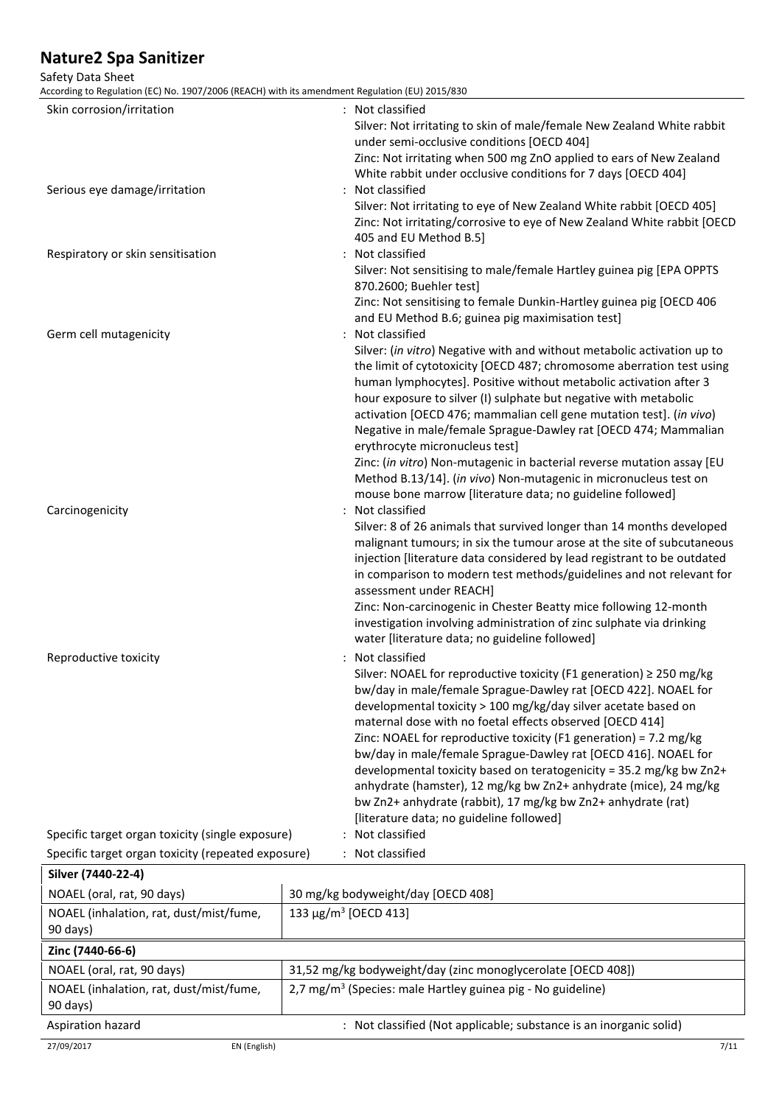### Safety Data Sheet

According to Regulation (EC) No. 1907/2006 (REACH) with its amendment Regulation (EU) 2015/830

| Skin corrosion/irritation                           | : Not classified<br>Silver: Not irritating to skin of male/female New Zealand White rabbit<br>under semi-occlusive conditions [OECD 404]<br>Zinc: Not irritating when 500 mg ZnO applied to ears of New Zealand<br>White rabbit under occlusive conditions for 7 days [OECD 404]                                                                                                                                                                                                                                                                                                                                                                                                      |
|-----------------------------------------------------|---------------------------------------------------------------------------------------------------------------------------------------------------------------------------------------------------------------------------------------------------------------------------------------------------------------------------------------------------------------------------------------------------------------------------------------------------------------------------------------------------------------------------------------------------------------------------------------------------------------------------------------------------------------------------------------|
| Serious eye damage/irritation                       | : Not classified<br>Silver: Not irritating to eye of New Zealand White rabbit [OECD 405]<br>Zinc: Not irritating/corrosive to eye of New Zealand White rabbit [OECD<br>405 and EU Method B.5]                                                                                                                                                                                                                                                                                                                                                                                                                                                                                         |
| Respiratory or skin sensitisation                   | : Not classified<br>Silver: Not sensitising to male/female Hartley guinea pig [EPA OPPTS                                                                                                                                                                                                                                                                                                                                                                                                                                                                                                                                                                                              |
| Germ cell mutagenicity                              | 870.2600; Buehler test]<br>Zinc: Not sensitising to female Dunkin-Hartley guinea pig [OECD 406<br>and EU Method B.6; guinea pig maximisation test]<br>: Not classified                                                                                                                                                                                                                                                                                                                                                                                                                                                                                                                |
|                                                     | Silver: (in vitro) Negative with and without metabolic activation up to<br>the limit of cytotoxicity [OECD 487; chromosome aberration test using<br>human lymphocytes]. Positive without metabolic activation after 3<br>hour exposure to silver (I) sulphate but negative with metabolic<br>activation [OECD 476; mammalian cell gene mutation test]. (in vivo)<br>Negative in male/female Sprague-Dawley rat [OECD 474; Mammalian<br>erythrocyte micronucleus test]<br>Zinc: (in vitro) Non-mutagenic in bacterial reverse mutation assay [EU                                                                                                                                       |
| Carcinogenicity                                     | Method B.13/14]. (in vivo) Non-mutagenic in micronucleus test on<br>mouse bone marrow [literature data; no guideline followed]<br>: Not classified                                                                                                                                                                                                                                                                                                                                                                                                                                                                                                                                    |
|                                                     | Silver: 8 of 26 animals that survived longer than 14 months developed<br>malignant tumours; in six the tumour arose at the site of subcutaneous<br>injection [literature data considered by lead registrant to be outdated<br>in comparison to modern test methods/guidelines and not relevant for<br>assessment under REACH]<br>Zinc: Non-carcinogenic in Chester Beatty mice following 12-month                                                                                                                                                                                                                                                                                     |
|                                                     | investigation involving administration of zinc sulphate via drinking<br>water [literature data; no guideline followed]                                                                                                                                                                                                                                                                                                                                                                                                                                                                                                                                                                |
| Reproductive toxicity                               | : Not classified<br>Silver: NOAEL for reproductive toxicity (F1 generation) ≥ 250 mg/kg<br>bw/day in male/female Sprague-Dawley rat [OECD 422]. NOAEL for<br>developmental toxicity > 100 mg/kg/day silver acetate based on<br>maternal dose with no foetal effects observed [OECD 414]<br>Zinc: NOAEL for reproductive toxicity (F1 generation) = 7.2 mg/kg<br>bw/day in male/female Sprague-Dawley rat [OECD 416]. NOAEL for<br>developmental toxicity based on teratogenicity = 35.2 mg/kg bw Zn2+<br>anhydrate (hamster), 12 mg/kg bw Zn2+ anhydrate (mice), 24 mg/kg<br>bw Zn2+ anhydrate (rabbit), 17 mg/kg bw Zn2+ anhydrate (rat)<br>[literature data; no guideline followed] |
| Specific target organ toxicity (single exposure)    | : Not classified                                                                                                                                                                                                                                                                                                                                                                                                                                                                                                                                                                                                                                                                      |
| Specific target organ toxicity (repeated exposure)  | : Not classified                                                                                                                                                                                                                                                                                                                                                                                                                                                                                                                                                                                                                                                                      |
| Silver (7440-22-4)                                  |                                                                                                                                                                                                                                                                                                                                                                                                                                                                                                                                                                                                                                                                                       |
| NOAEL (oral, rat, 90 days)                          | 30 mg/kg bodyweight/day [OECD 408]                                                                                                                                                                                                                                                                                                                                                                                                                                                                                                                                                                                                                                                    |
| NOAEL (inhalation, rat, dust/mist/fume,<br>90 days) | 133 μg/m <sup>3</sup> [OECD 413]                                                                                                                                                                                                                                                                                                                                                                                                                                                                                                                                                                                                                                                      |
| Zinc (7440-66-6)                                    |                                                                                                                                                                                                                                                                                                                                                                                                                                                                                                                                                                                                                                                                                       |
| NOAEL (oral, rat, 90 days)                          | 31,52 mg/kg bodyweight/day (zinc monoglycerolate [OECD 408])                                                                                                                                                                                                                                                                                                                                                                                                                                                                                                                                                                                                                          |
| NOAEL (inhalation, rat, dust/mist/fume,<br>90 days) | 2,7 mg/m <sup>3</sup> (Species: male Hartley guinea pig - No guideline)                                                                                                                                                                                                                                                                                                                                                                                                                                                                                                                                                                                                               |
| Aspiration hazard                                   | : Not classified (Not applicable; substance is an inorganic solid)                                                                                                                                                                                                                                                                                                                                                                                                                                                                                                                                                                                                                    |
| 27/09/2017<br>EN (English)                          | 7/11                                                                                                                                                                                                                                                                                                                                                                                                                                                                                                                                                                                                                                                                                  |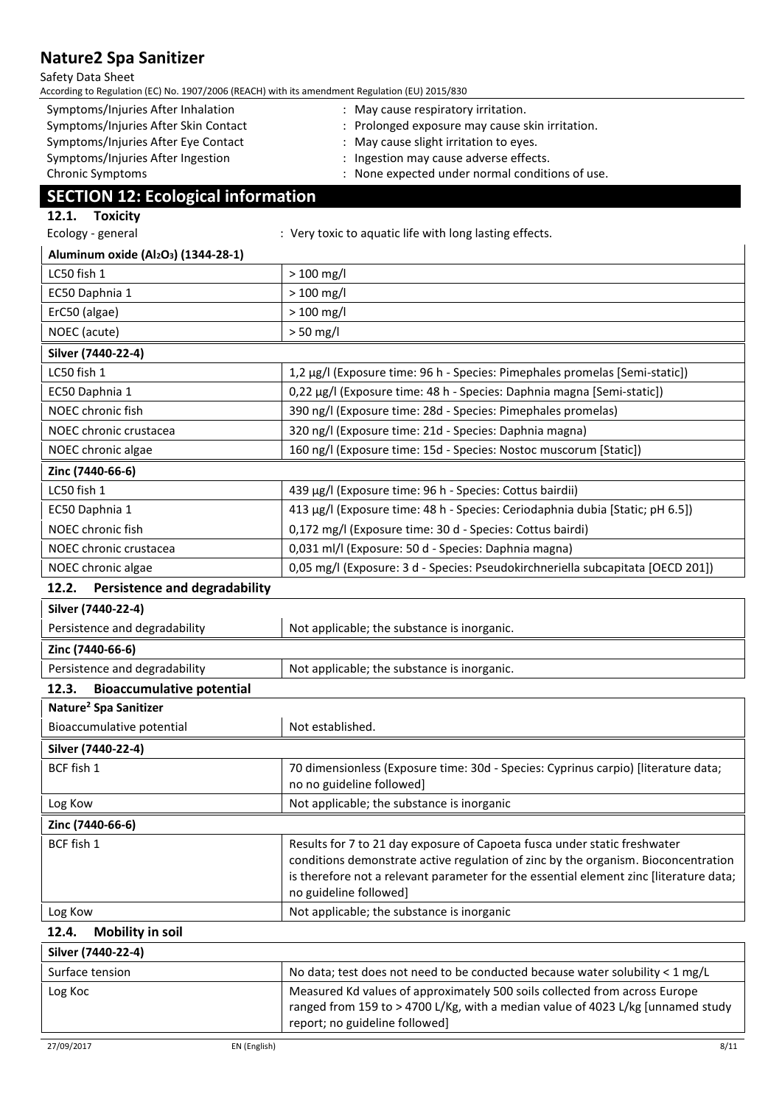#### Safety Data Sheet

| According to Regulation (EC) No. 1907/2006 (REACH) with its amendment Regulation (EU) 2015/830 |                                                                                                                                                                                                                                                                                     |
|------------------------------------------------------------------------------------------------|-------------------------------------------------------------------------------------------------------------------------------------------------------------------------------------------------------------------------------------------------------------------------------------|
| Symptoms/Injuries After Inhalation                                                             | : May cause respiratory irritation.                                                                                                                                                                                                                                                 |
| Symptoms/Injuries After Skin Contact                                                           | Prolonged exposure may cause skin irritation.                                                                                                                                                                                                                                       |
| Symptoms/Injuries After Eye Contact                                                            | May cause slight irritation to eyes.                                                                                                                                                                                                                                                |
| Symptoms/Injuries After Ingestion<br>Chronic Symptoms                                          | Ingestion may cause adverse effects.<br>: None expected under normal conditions of use.                                                                                                                                                                                             |
|                                                                                                |                                                                                                                                                                                                                                                                                     |
| <b>SECTION 12: Ecological information</b>                                                      |                                                                                                                                                                                                                                                                                     |
| 12.1. Toxicity                                                                                 |                                                                                                                                                                                                                                                                                     |
| Ecology - general                                                                              | : Very toxic to aquatic life with long lasting effects.                                                                                                                                                                                                                             |
| Aluminum oxide (Al <sub>2</sub> O <sub>3</sub> ) (1344-28-1)                                   |                                                                                                                                                                                                                                                                                     |
| LC50 fish 1                                                                                    | $> 100$ mg/l                                                                                                                                                                                                                                                                        |
| EC50 Daphnia 1                                                                                 | $>100$ mg/l                                                                                                                                                                                                                                                                         |
| ErC50 (algae)                                                                                  | $>100$ mg/l                                                                                                                                                                                                                                                                         |
| NOEC (acute)                                                                                   | $> 50$ mg/l                                                                                                                                                                                                                                                                         |
| Silver (7440-22-4)                                                                             |                                                                                                                                                                                                                                                                                     |
| LC50 fish 1                                                                                    | 1,2 µg/l (Exposure time: 96 h - Species: Pimephales promelas [Semi-static])                                                                                                                                                                                                         |
| EC50 Daphnia 1                                                                                 | 0,22 µg/l (Exposure time: 48 h - Species: Daphnia magna [Semi-static])                                                                                                                                                                                                              |
| NOEC chronic fish                                                                              | 390 ng/l (Exposure time: 28d - Species: Pimephales promelas)                                                                                                                                                                                                                        |
| NOEC chronic crustacea                                                                         | 320 ng/l (Exposure time: 21d - Species: Daphnia magna)                                                                                                                                                                                                                              |
| NOEC chronic algae                                                                             | 160 ng/l (Exposure time: 15d - Species: Nostoc muscorum [Static])                                                                                                                                                                                                                   |
| Zinc (7440-66-6)                                                                               |                                                                                                                                                                                                                                                                                     |
| LC50 fish 1                                                                                    | 439 µg/l (Exposure time: 96 h - Species: Cottus bairdii)                                                                                                                                                                                                                            |
| EC50 Daphnia 1                                                                                 | 413 µg/l (Exposure time: 48 h - Species: Ceriodaphnia dubia [Static; pH 6.5])                                                                                                                                                                                                       |
| NOEC chronic fish                                                                              | 0,172 mg/l (Exposure time: 30 d - Species: Cottus bairdi)                                                                                                                                                                                                                           |
| NOEC chronic crustacea                                                                         | 0,031 ml/l (Exposure: 50 d - Species: Daphnia magna)                                                                                                                                                                                                                                |
| NOEC chronic algae                                                                             | 0,05 mg/l (Exposure: 3 d - Species: Pseudokirchneriella subcapitata [OECD 201])                                                                                                                                                                                                     |
| <b>Persistence and degradability</b><br>12.2.                                                  |                                                                                                                                                                                                                                                                                     |
| Silver (7440-22-4)                                                                             |                                                                                                                                                                                                                                                                                     |
| Persistence and degradability                                                                  | Not applicable; the substance is inorganic.                                                                                                                                                                                                                                         |
| Zinc (7440-66-6)                                                                               |                                                                                                                                                                                                                                                                                     |
|                                                                                                |                                                                                                                                                                                                                                                                                     |
| Persistence and degradability                                                                  | Not applicable; the substance is inorganic.                                                                                                                                                                                                                                         |
| <b>Bioaccumulative potential</b><br>12.3.                                                      |                                                                                                                                                                                                                                                                                     |
| Nature <sup>2</sup> Spa Sanitizer                                                              |                                                                                                                                                                                                                                                                                     |
| Bioaccumulative potential                                                                      | Not established.                                                                                                                                                                                                                                                                    |
| Silver (7440-22-4)                                                                             |                                                                                                                                                                                                                                                                                     |
| BCF fish 1                                                                                     | 70 dimensionless (Exposure time: 30d - Species: Cyprinus carpio) [literature data;<br>no no guideline followed]                                                                                                                                                                     |
| Log Kow                                                                                        | Not applicable; the substance is inorganic                                                                                                                                                                                                                                          |
| Zinc (7440-66-6)                                                                               |                                                                                                                                                                                                                                                                                     |
| BCF fish 1                                                                                     | Results for 7 to 21 day exposure of Capoeta fusca under static freshwater<br>conditions demonstrate active regulation of zinc by the organism. Bioconcentration<br>is therefore not a relevant parameter for the essential element zinc [literature data;<br>no guideline followed] |
| Log Kow                                                                                        | Not applicable; the substance is inorganic                                                                                                                                                                                                                                          |
| 12.4.                                                                                          |                                                                                                                                                                                                                                                                                     |
| <b>Mobility in soil</b><br>Silver (7440-22-4)                                                  |                                                                                                                                                                                                                                                                                     |
| Surface tension                                                                                | No data; test does not need to be conducted because water solubility < 1 mg/L                                                                                                                                                                                                       |
| Log Koc                                                                                        | Measured Kd values of approximately 500 soils collected from across Europe                                                                                                                                                                                                          |
|                                                                                                | ranged from 159 to > 4700 L/Kg, with a median value of 4023 L/kg [unnamed study<br>report; no guideline followed]                                                                                                                                                                   |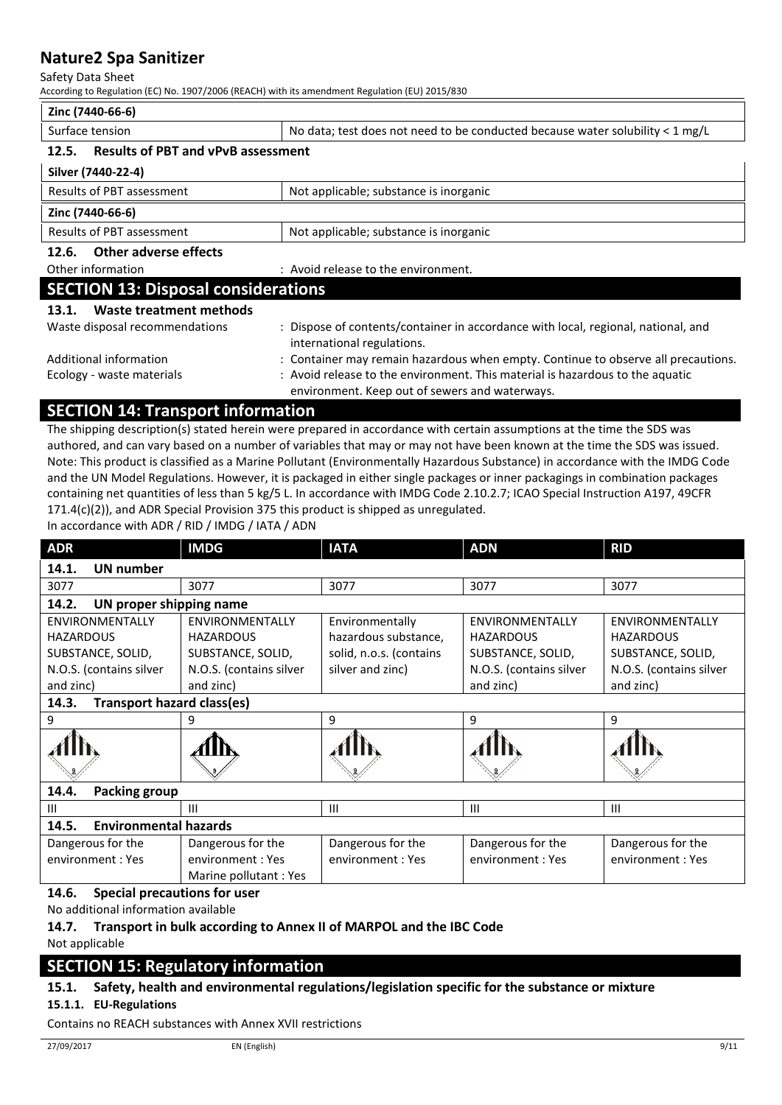Safety Data Sheet

According to Regulation (EC) No. 1907/2006 (REACH) with its amendment Regulation (EU) 2015/830

| Zinc (7440-66-6)                                                    |                                                                                                                                 |  |
|---------------------------------------------------------------------|---------------------------------------------------------------------------------------------------------------------------------|--|
| Surface tension                                                     | No data; test does not need to be conducted because water solubility $\lt 1$ mg/L                                               |  |
| <b>Results of PBT and vPvB assessment</b><br>12.5.                  |                                                                                                                                 |  |
| Silver (7440-22-4)                                                  |                                                                                                                                 |  |
| Results of PBT assessment                                           | Not applicable; substance is inorganic                                                                                          |  |
| Zinc (7440-66-6)                                                    |                                                                                                                                 |  |
| Results of PBT assessment<br>Not applicable; substance is inorganic |                                                                                                                                 |  |
| Other adverse effects<br>12.6.                                      |                                                                                                                                 |  |
| Other information                                                   | : Avoid release to the environment.                                                                                             |  |
| <b>SECTION 13: Disposal considerations</b>                          |                                                                                                                                 |  |
| Waste treatment methods<br>13.1.                                    |                                                                                                                                 |  |
| Waste disposal recommendations                                      | : Dispose of contents/container in accordance with local, regional, national, and<br>international regulations.                 |  |
| Additional information                                              | : Container may remain hazardous when empty. Continue to observe all precautions.                                               |  |
| Ecology - waste materials                                           | : Avoid release to the environment. This material is hazardous to the aquatic<br>environment. Keep out of sewers and waterways. |  |

### **SECTION 14: Transport information**

The shipping description(s) stated herein were prepared in accordance with certain assumptions at the time the SDS was authored, and can vary based on a number of variables that may or may not have been known at the time the SDS was issued. Note: This product is classified as a Marine Pollutant (Environmentally Hazardous Substance) in accordance with the IMDG Code and the UN Model Regulations. However, it is packaged in either single packages or inner packagings in combination packages containing net quantities of less than 5 kg/5 L. In accordance with IMDG Code 2.10.2.7; ICAO Special Instruction A197, 49CFR 171.4(c)(2)), and ADR Special Provision 375 this product is shipped as unregulated.

In accordance with ADR / RID / IMDG / IATA / ADN

| <b>ADR</b>                                 | <b>IMDG</b>                         | <b>IATA</b>             | <b>ADN</b>              | <b>RID</b>              |
|--------------------------------------------|-------------------------------------|-------------------------|-------------------------|-------------------------|
| 14.1.<br><b>UN number</b>                  |                                     |                         |                         |                         |
| 3077                                       | 3077                                | 3077                    | 3077                    | 3077                    |
| 14.2.<br>UN proper shipping name           |                                     |                         |                         |                         |
| <b>ENVIRONMENTALLY</b>                     | <b>ENVIRONMENTALLY</b>              | Environmentally         | <b>ENVIRONMENTALLY</b>  | <b>ENVIRONMENTALLY</b>  |
| <b>HAZARDOUS</b>                           | <b>HAZARDOUS</b>                    | hazardous substance,    | <b>HAZARDOUS</b>        | <b>HAZARDOUS</b>        |
| SUBSTANCE, SOLID,                          | SUBSTANCE, SOLID,                   | solid, n.o.s. (contains | SUBSTANCE, SOLID,       | SUBSTANCE, SOLID,       |
| N.O.S. (contains silver                    | N.O.S. (contains silver             | silver and zinc)        | N.O.S. (contains silver | N.O.S. (contains silver |
| and zinc)                                  | and zinc)                           |                         | and zinc)               | and zinc)               |
| <b>Transport hazard class(es)</b><br>14.3. |                                     |                         |                         |                         |
| 9                                          | 9                                   | 9                       | 9                       | 9                       |
|                                            |                                     |                         |                         |                         |
| 14.4.<br><b>Packing group</b>              |                                     |                         |                         |                         |
| Ш                                          | Ш                                   | $\mathbf{III}$          | $\mathbf{III}$          | $\mathbf{III}$          |
| 14.5.<br><b>Environmental hazards</b>      |                                     |                         |                         |                         |
| Dangerous for the                          | Dangerous for the                   | Dangerous for the       | Dangerous for the       | Dangerous for the       |
| environment: Yes                           | environment: Yes                    | environment: Yes        | environment: Yes        | environment: Yes        |
|                                            | Marine pollutant: Yes               |                         |                         |                         |
| 14.6.                                      | <b>Special precautions for user</b> |                         |                         |                         |

No additional information available

### **14.7. Transport in bulk according to Annex II of MARPOL and the IBC Code**

Not applicable

# **SECTION 15: Regulatory information**

### **15.1. Safety, health and environmental regulations/legislation specific for the substance or mixture**

### **15.1.1. EU-Regulations**

Contains no REACH substances with Annex XVII restrictions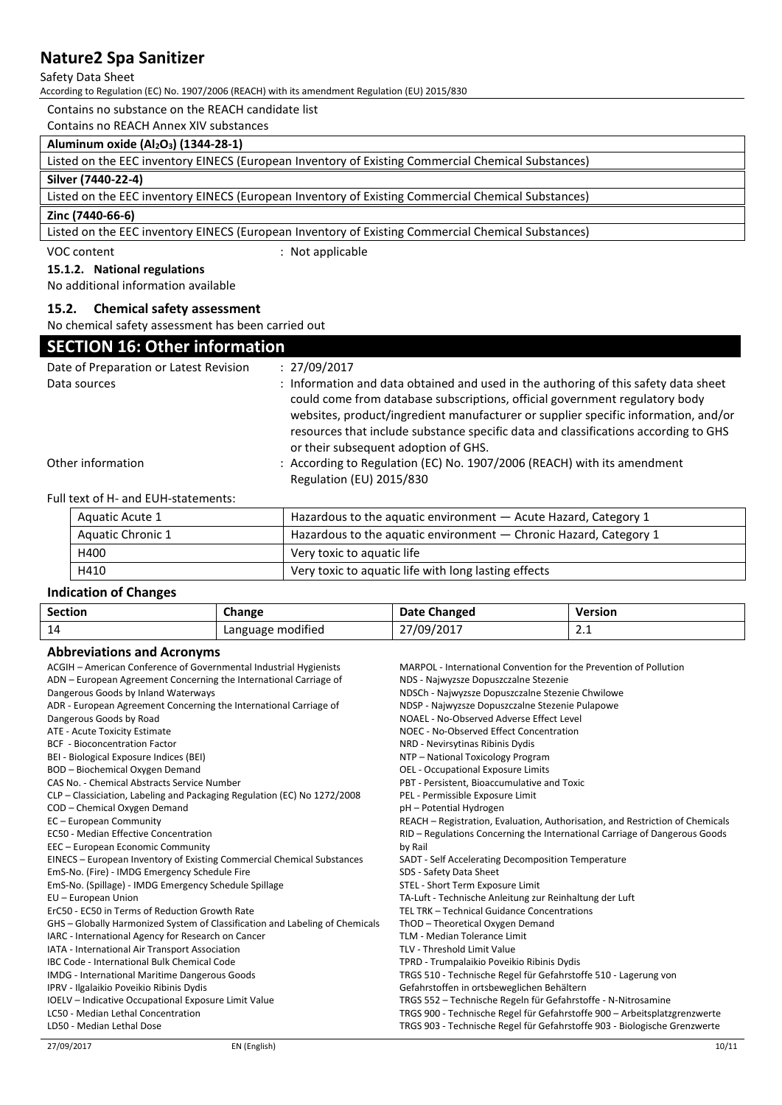#### Safety Data Sheet

According to Regulation (EC) No. 1907/2006 (REACH) with its amendment Regulation (EU) 2015/830

Contains no substance on the REACH candidate list

Contains no REACH Annex XIV substances

### **Aluminum oxide (Al2O3) (1344-28-1)**

### **Silver (7440-22-4)**

Listed on the EEC inventory EINECS (European Inventory of Existing Commercial Chemical Substances)

#### **Zinc (7440-66-6)**

Listed on the EEC inventory EINECS (European Inventory of Existing Commercial Chemical Substances)

VOC content  $\qquad \qquad :$  Not applicable

#### **15.1.2. National regulations**

No additional information available

#### **15.2. Chemical safety assessment**

No chemical safety assessment has been carried out

### **SECTION 16: Other information**

| Date of Preparation or Latest Revision<br>Data sources | : 27/09/2017<br>: Information and data obtained and used in the authoring of this safety data sheet<br>could come from database subscriptions, official government regulatory body<br>websites, product/ingredient manufacturer or supplier specific information, and/or<br>resources that include substance specific data and classifications according to GHS<br>or their subsequent adoption of GHS. |
|--------------------------------------------------------|---------------------------------------------------------------------------------------------------------------------------------------------------------------------------------------------------------------------------------------------------------------------------------------------------------------------------------------------------------------------------------------------------------|
| Other information                                      | : According to Regulation (EC) No. 1907/2006 (REACH) with its amendment<br>Regulation (EU) 2015/830                                                                                                                                                                                                                                                                                                     |

Full text of H- and EUH-statements:

| Aquatic Acute 1   | Hazardous to the aquatic environment - Acute Hazard, Category 1   |  |
|-------------------|-------------------------------------------------------------------|--|
| Aquatic Chronic 1 | Hazardous to the aquatic environment — Chronic Hazard, Category 1 |  |
| H400              | Very toxic to aquatic life                                        |  |
| H410              | Very toxic to aquatic life with long lasting effects              |  |

#### **Indication of Changes**

| Section | Change            | Date Changed | <b>Version</b> |
|---------|-------------------|--------------|----------------|
| 14      | Language modified | 27/09/2017   | <b>4.1</b>     |

#### **Abbreviations and Acronyms**

| , www.co.accompania, w.o.i.                                                  |                                                                               |  |
|------------------------------------------------------------------------------|-------------------------------------------------------------------------------|--|
| ACGIH - American Conference of Governmental Industrial Hygienists            | MARPOL - International Convention for the Prevention of Pollution             |  |
| ADN – European Agreement Concerning the International Carriage of            | NDS - Najwyzsze Dopuszczalne Stezenie                                         |  |
| Dangerous Goods by Inland Waterways                                          | NDSCh - Najwyzsze Dopuszczalne Stezenie Chwilowe                              |  |
| ADR - European Agreement Concerning the International Carriage of            | NDSP - Najwyzsze Dopuszczalne Stezenie Pulapowe                               |  |
| Dangerous Goods by Road                                                      | NOAEL - No-Observed Adverse Effect Level                                      |  |
| ATE - Acute Toxicity Estimate                                                | NOEC - No-Observed Effect Concentration                                       |  |
| <b>BCF</b> - Bioconcentration Factor                                         | NRD - Nevirsytinas Ribinis Dydis                                              |  |
| BEI - Biological Exposure Indices (BEI)                                      | NTP - National Toxicology Program                                             |  |
| BOD - Biochemical Oxygen Demand                                              | <b>OEL - Occupational Exposure Limits</b>                                     |  |
| CAS No. - Chemical Abstracts Service Number                                  | PBT - Persistent, Bioaccumulative and Toxic                                   |  |
| $CLP - Classification$ , Labeling and Packaging Regulation (EC) No 1272/2008 | PEL - Permissible Exposure Limit                                              |  |
| COD - Chemical Oxygen Demand                                                 | pH - Potential Hydrogen                                                       |  |
| EC - European Community                                                      | REACH - Registration, Evaluation, Authorisation, and Restriction of Chemicals |  |
| <b>EC50 - Median Effective Concentration</b>                                 | RID - Regulations Concerning the International Carriage of Dangerous Goods    |  |
| EEC - European Economic Community                                            | by Rail                                                                       |  |
| EINECS - European Inventory of Existing Commercial Chemical Substances       | SADT - Self Accelerating Decomposition Temperature                            |  |
| EmS-No. (Fire) - IMDG Emergency Schedule Fire                                | SDS - Safety Data Sheet                                                       |  |
| EmS-No. (Spillage) - IMDG Emergency Schedule Spillage                        | STEL - Short Term Exposure Limit                                              |  |
| EU - European Union                                                          | TA-Luft - Technische Anleitung zur Reinhaltung der Luft                       |  |
| ErC50 - EC50 in Terms of Reduction Growth Rate                               | TEL TRK - Technical Guidance Concentrations                                   |  |
| GHS – Globally Harmonized System of Classification and Labeling of Chemicals | ThOD - Theoretical Oxygen Demand                                              |  |
| IARC - International Agency for Research on Cancer                           | TLM - Median Tolerance Limit                                                  |  |
| IATA - International Air Transport Association                               | TLV - Threshold Limit Value                                                   |  |
| IBC Code - International Bulk Chemical Code                                  | TPRD - Trumpalaikio Poveikio Ribinis Dydis                                    |  |
| IMDG - International Maritime Dangerous Goods                                | TRGS 510 - Technische Regel für Gefahrstoffe 510 - Lagerung von               |  |
| IPRV - Ilgalaikio Poveikio Ribinis Dydis                                     | Gefahrstoffen in ortsbeweglichen Behältern                                    |  |
| IOELV - Indicative Occupational Exposure Limit Value                         | TRGS 552 - Technische Regeln für Gefahrstoffe - N-Nitrosamine                 |  |
| LC50 - Median Lethal Concentration                                           | TRGS 900 - Technische Regel für Gefahrstoffe 900 - Arbeitsplatzgrenzwerte     |  |
| LD50 - Median Lethal Dose                                                    | TRGS 903 - Technische Regel für Gefahrstoffe 903 - Biologische Grenzwerte     |  |
|                                                                              |                                                                               |  |